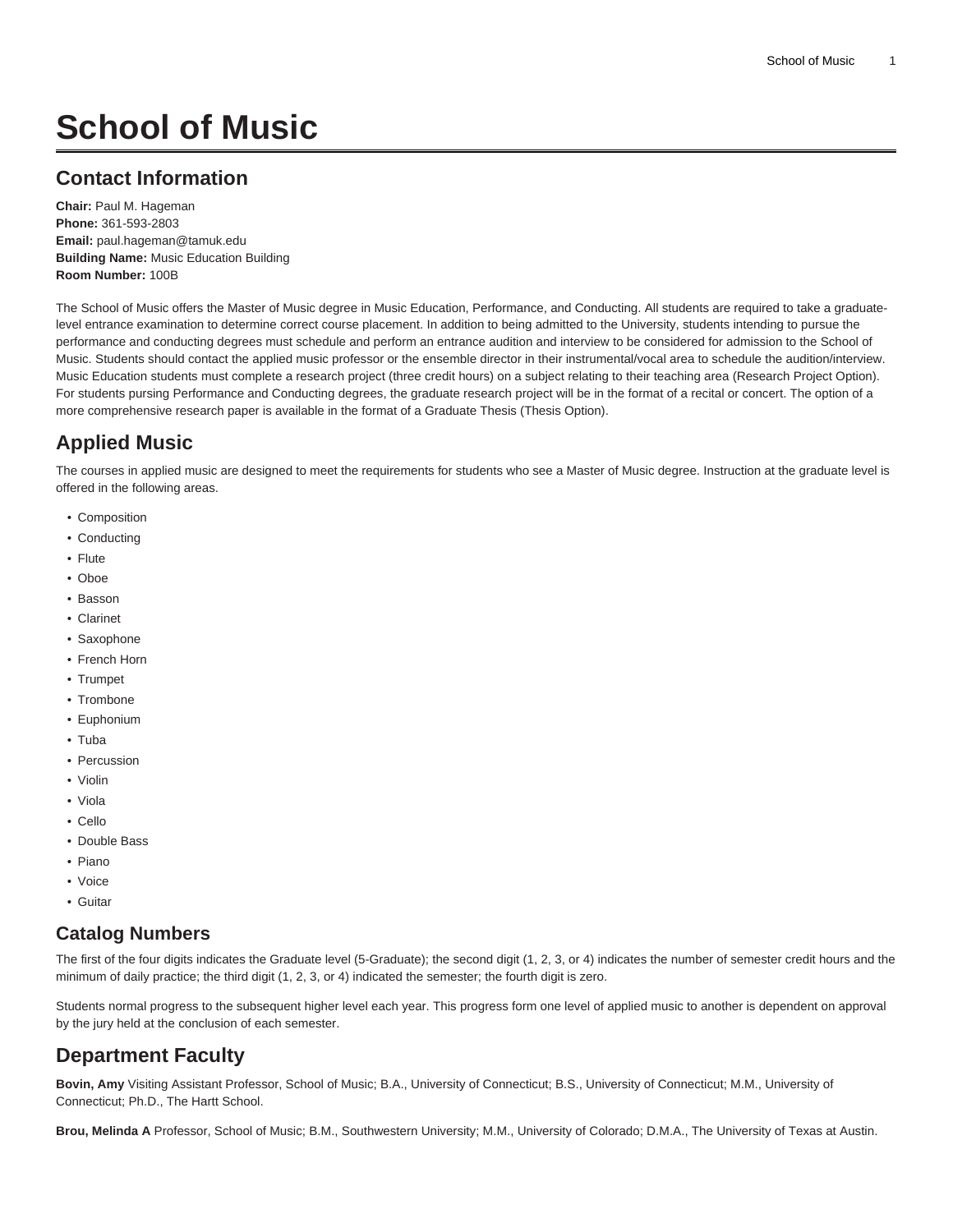# **School of Music**

## **Contact Information**

**Chair:** Paul M. Hageman **Phone:** 361-593-2803 **Email:** [paul.hageman@tamuk.edu](mailto:paul.hageman@tamuk.edu) **Building Name:** Music Education Building **Room Number:** 100B

The School of Music offers the Master of Music degree in Music Education, Performance, and Conducting. All students are required to take a graduatelevel entrance examination to determine correct course placement. In addition to being admitted to the University, students intending to pursue the performance and conducting degrees must schedule and perform an entrance audition and interview to be considered for admission to the School of Music. Students should contact the applied music professor or the ensemble director in their instrumental/vocal area to schedule the audition/interview. Music Education students must complete a research project (three credit hours) on a subject relating to their teaching area (Research Project Option). For students pursing Performance and Conducting degrees, the graduate research project will be in the format of a recital or concert. The option of a more comprehensive research paper is available in the format of a Graduate Thesis (Thesis Option).

# **Applied Music**

The courses in applied music are designed to meet the requirements for students who see a Master of Music degree. Instruction at the graduate level is offered in the following areas.

- Composition
- Conducting
- Flute
- Oboe
- Basson
- Clarinet
- Saxophone
- French Horn
- Trumpet
- Trombone
- Euphonium
- Tuba
- Percussion
- Violin
- Viola
- Cello
- Double Bass
- Piano
- Voice
- Guitar

### **Catalog Numbers**

The first of the four digits indicates the Graduate level (5-Graduate); the second digit (1, 2, 3, or 4) indicates the number of semester credit hours and the minimum of daily practice; the third digit (1, 2, 3, or 4) indicated the semester; the fourth digit is zero.

Students normal progress to the subsequent higher level each year. This progress form one level of applied music to another is dependent on approval by the jury held at the conclusion of each semester.

# **Department Faculty**

**Bovin, Amy** Visiting Assistant Professor, School of Music; B.A., University of Connecticut; B.S., University of Connecticut; M.M., University of Connecticut; Ph.D., The Hartt School.

**Brou, Melinda A** Professor, School of Music; B.M., Southwestern University; M.M., University of Colorado; D.M.A., The University of Texas at Austin.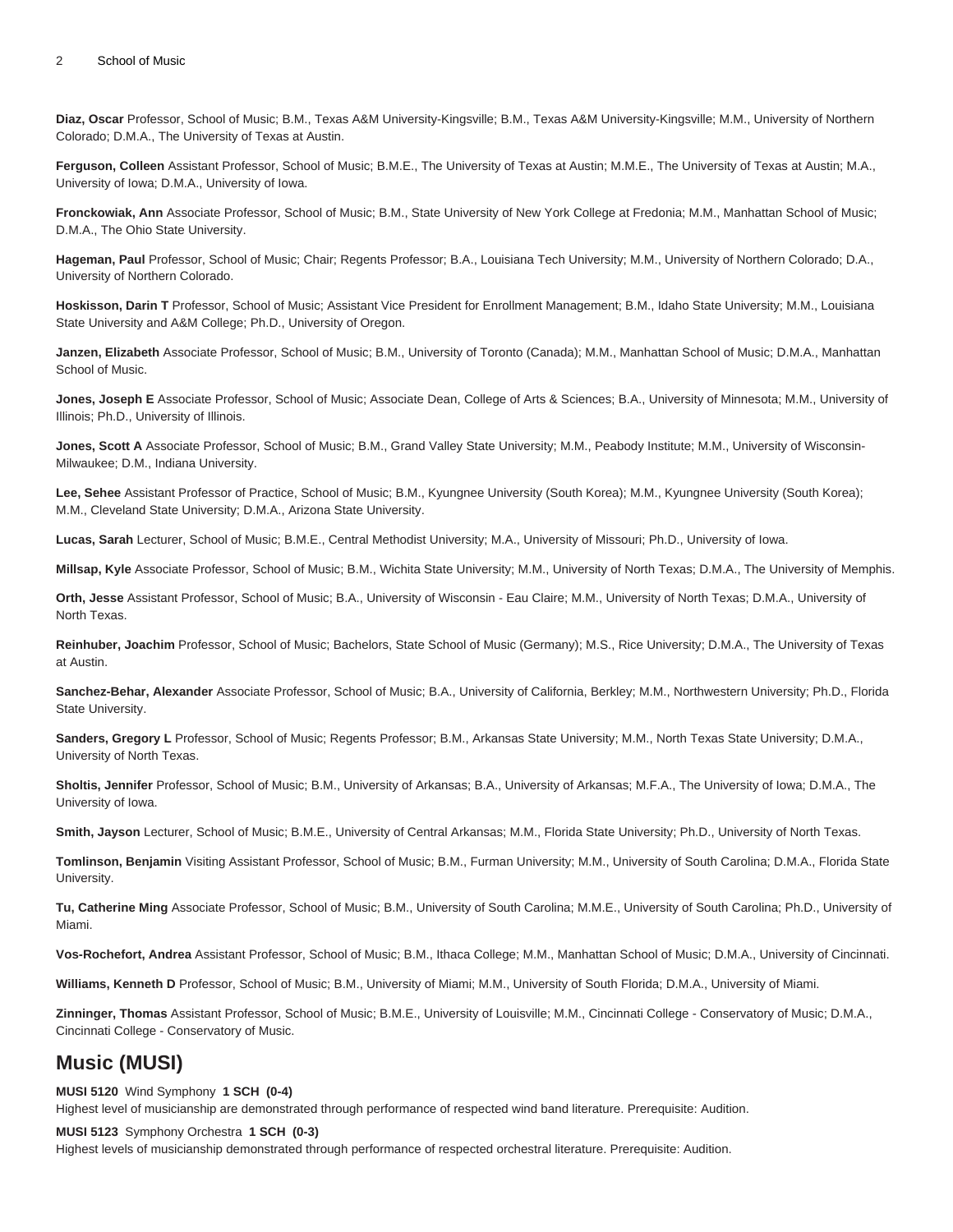**Diaz, Oscar** Professor, School of Music; B.M., Texas A&M University-Kingsville; B.M., Texas A&M University-Kingsville; M.M., University of Northern Colorado; D.M.A., The University of Texas at Austin.

**Ferguson, Colleen** Assistant Professor, School of Music; B.M.E., The University of Texas at Austin; M.M.E., The University of Texas at Austin; M.A., University of Iowa; D.M.A., University of Iowa.

**Fronckowiak, Ann** Associate Professor, School of Music; B.M., State University of New York College at Fredonia; M.M., Manhattan School of Music; D.M.A., The Ohio State University.

**Hageman, Paul** Professor, School of Music; Chair; Regents Professor; B.A., Louisiana Tech University; M.M., University of Northern Colorado; D.A., University of Northern Colorado.

**Hoskisson, Darin T** Professor, School of Music; Assistant Vice President for Enrollment Management; B.M., Idaho State University; M.M., Louisiana State University and A&M College; Ph.D., University of Oregon.

**Janzen, Elizabeth** Associate Professor, School of Music; B.M., University of Toronto (Canada); M.M., Manhattan School of Music; D.M.A., Manhattan School of Music.

**Jones, Joseph E** Associate Professor, School of Music; Associate Dean, College of Arts & Sciences; B.A., University of Minnesota; M.M., University of Illinois; Ph.D., University of Illinois.

**Jones, Scott A** Associate Professor, School of Music; B.M., Grand Valley State University; M.M., Peabody Institute; M.M., University of Wisconsin-Milwaukee; D.M., Indiana University.

**Lee, Sehee** Assistant Professor of Practice, School of Music; B.M., Kyungnee University (South Korea); M.M., Kyungnee University (South Korea); M.M., Cleveland State University; D.M.A., Arizona State University.

**Lucas, Sarah** Lecturer, School of Music; B.M.E., Central Methodist University; M.A., University of Missouri; Ph.D., University of Iowa.

**Millsap, Kyle** Associate Professor, School of Music; B.M., Wichita State University; M.M., University of North Texas; D.M.A., The University of Memphis.

**Orth, Jesse** Assistant Professor, School of Music; B.A., University of Wisconsin - Eau Claire; M.M., University of North Texas; D.M.A., University of North Texas.

**Reinhuber, Joachim** Professor, School of Music; Bachelors, State School of Music (Germany); M.S., Rice University; D.M.A., The University of Texas at Austin.

**Sanchez-Behar, Alexander** Associate Professor, School of Music; B.A., University of California, Berkley; M.M., Northwestern University; Ph.D., Florida State University.

**Sanders, Gregory L** Professor, School of Music; Regents Professor; B.M., Arkansas State University; M.M., North Texas State University; D.M.A., University of North Texas.

**Sholtis, Jennifer** Professor, School of Music; B.M., University of Arkansas; B.A., University of Arkansas; M.F.A., The University of Iowa; D.M.A., The University of Iowa.

**Smith, Jayson** Lecturer, School of Music; B.M.E., University of Central Arkansas; M.M., Florida State University; Ph.D., University of North Texas.

**Tomlinson, Benjamin** Visiting Assistant Professor, School of Music; B.M., Furman University; M.M., University of South Carolina; D.M.A., Florida State University.

**Tu, Catherine Ming** Associate Professor, School of Music; B.M., University of South Carolina; M.M.E., University of South Carolina; Ph.D., University of Miami.

**Vos-Rochefort, Andrea** Assistant Professor, School of Music; B.M., Ithaca College; M.M., Manhattan School of Music; D.M.A., University of Cincinnati.

**Williams, Kenneth D** Professor, School of Music; B.M., University of Miami; M.M., University of South Florida; D.M.A., University of Miami.

**Zinninger, Thomas** Assistant Professor, School of Music; B.M.E., University of Louisville; M.M., Cincinnati College - Conservatory of Music; D.M.A., Cincinnati College - Conservatory of Music.

### **Music (MUSI)**

#### **MUSI 5120** Wind Symphony **1 SCH (0-4)**

Highest level of musicianship are demonstrated through performance of respected wind band literature. Prerequisite: Audition.

#### **MUSI 5123** Symphony Orchestra **1 SCH (0-3)**

Highest levels of musicianship demonstrated through performance of respected orchestral literature. Prerequisite: Audition.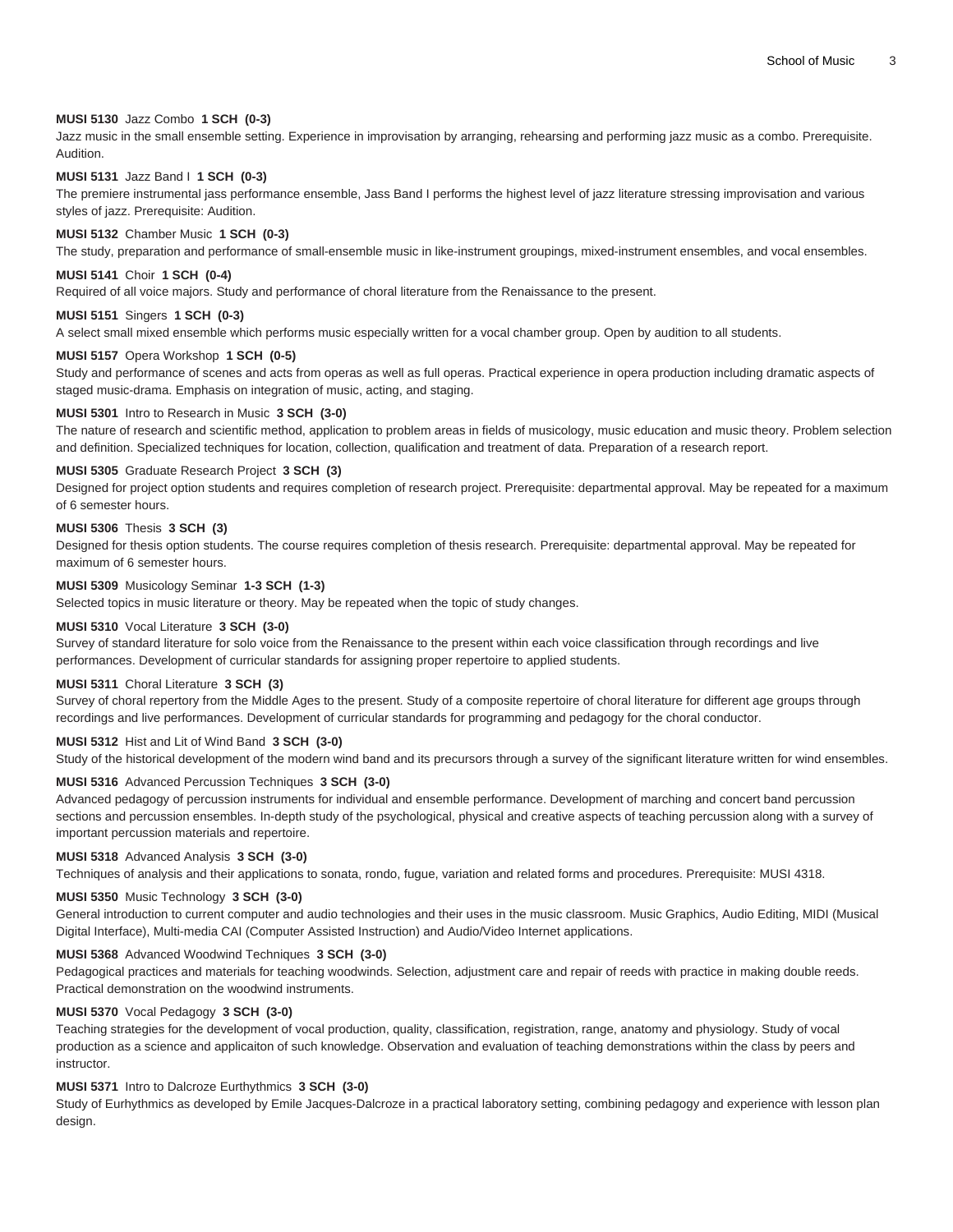#### **MUSI 5130** Jazz Combo **1 SCH (0-3)**

Jazz music in the small ensemble setting. Experience in improvisation by arranging, rehearsing and performing jazz music as a combo. Prerequisite. Audition.

#### **MUSI 5131** Jazz Band I **1 SCH (0-3)**

The premiere instrumental jass performance ensemble, Jass Band I performs the highest level of jazz literature stressing improvisation and various styles of jazz. Prerequisite: Audition.

#### **MUSI 5132** Chamber Music **1 SCH (0-3)**

The study, preparation and performance of small-ensemble music in like-instrument groupings, mixed-instrument ensembles, and vocal ensembles.

#### **MUSI 5141** Choir **1 SCH (0-4)**

Required of all voice majors. Study and performance of choral literature from the Renaissance to the present.

#### **MUSI 5151** Singers **1 SCH (0-3)**

A select small mixed ensemble which performs music especially written for a vocal chamber group. Open by audition to all students.

#### **MUSI 5157** Opera Workshop **1 SCH (0-5)**

Study and performance of scenes and acts from operas as well as full operas. Practical experience in opera production including dramatic aspects of staged music-drama. Emphasis on integration of music, acting, and staging.

#### **MUSI 5301** Intro to Research in Music **3 SCH (3-0)**

The nature of research and scientific method, application to problem areas in fields of musicology, music education and music theory. Problem selection and definition. Specialized techniques for location, collection, qualification and treatment of data. Preparation of a research report.

#### **MUSI 5305** Graduate Research Project **3 SCH (3)**

Designed for project option students and requires completion of research project. Prerequisite: departmental approval. May be repeated for a maximum of 6 semester hours.

#### **MUSI 5306** Thesis **3 SCH (3)**

Designed for thesis option students. The course requires completion of thesis research. Prerequisite: departmental approval. May be repeated for maximum of 6 semester hours.

#### **MUSI 5309** Musicology Seminar **1-3 SCH (1-3)**

Selected topics in music literature or theory. May be repeated when the topic of study changes.

#### **MUSI 5310** Vocal Literature **3 SCH (3-0)**

Survey of standard literature for solo voice from the Renaissance to the present within each voice classification through recordings and live performances. Development of curricular standards for assigning proper repertoire to applied students.

#### **MUSI 5311** Choral Literature **3 SCH (3)**

Survey of choral repertory from the Middle Ages to the present. Study of a composite repertoire of choral literature for different age groups through recordings and live performances. Development of curricular standards for programming and pedagogy for the choral conductor.

#### **MUSI 5312** Hist and Lit of Wind Band **3 SCH (3-0)**

Study of the historical development of the modern wind band and its precursors through a survey of the significant literature written for wind ensembles.

#### **MUSI 5316** Advanced Percussion Techniques **3 SCH (3-0)**

Advanced pedagogy of percussion instruments for individual and ensemble performance. Development of marching and concert band percussion sections and percussion ensembles. In-depth study of the psychological, physical and creative aspects of teaching percussion along with a survey of important percussion materials and repertoire.

#### **MUSI 5318** Advanced Analysis **3 SCH (3-0)**

Techniques of analysis and their applications to sonata, rondo, fugue, variation and related forms and procedures. Prerequisite: MUSI 4318.

#### **MUSI 5350** Music Technology **3 SCH (3-0)**

General introduction to current computer and audio technologies and their uses in the music classroom. Music Graphics, Audio Editing, MIDI (Musical Digital Interface), Multi-media CAI (Computer Assisted Instruction) and Audio/Video Internet applications.

#### **MUSI 5368** Advanced Woodwind Techniques **3 SCH (3-0)**

Pedagogical practices and materials for teaching woodwinds. Selection, adjustment care and repair of reeds with practice in making double reeds. Practical demonstration on the woodwind instruments.

#### **MUSI 5370** Vocal Pedagogy **3 SCH (3-0)**

Teaching strategies for the development of vocal production, quality, classification, registration, range, anatomy and physiology. Study of vocal production as a science and applicaiton of such knowledge. Observation and evaluation of teaching demonstrations within the class by peers and instructor.

#### **MUSI 5371** Intro to Dalcroze Eurthythmics **3 SCH (3-0)**

Study of Eurhythmics as developed by Emile Jacques-Dalcroze in a practical laboratory setting, combining pedagogy and experience with lesson plan design.